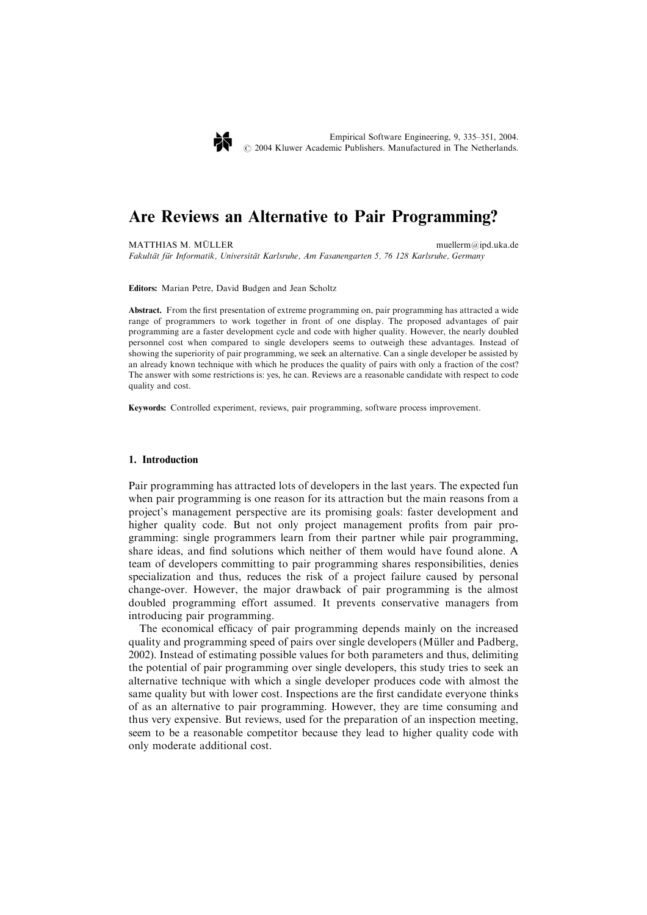# Are Reviews an Alternative to Pair Programming?

MATTHIAS M. MÜLLER muellerm@ipd.uka.de

Fakultät für Informatik, Universität Karlsruhe, Am Fasanengarten 5, 76 128 Karlsruhe, Germany

Editors: Marian Petre, David Budgen and Jean Scholtz

Abstract. From the first presentation of extreme programming on, pair programming has attracted a wide range of programmers to work together in front of one display. The proposed advantages of pair programming are a faster development cycle and code with higher quality. However, the nearly doubled personnel cost when compared to single developers seems to outweigh these advantages. Instead of showing the superiority of pair programming, we seek an alternative. Can a single developer be assisted by an already known technique with which he produces the quality of pairs with only a fraction of the cost? The answer with some restrictions is: yes, he can. Reviews are a reasonable candidate with respect to code quality and cost.

Keywords: Controlled experiment, reviews, pair programming, software process improvement.

#### 1. Introduction

Pair programming has attracted lots of developers in the last years. The expected fun when pair programming is one reason for its attraction but the main reasons from a project's management perspective are its promising goals: faster development and higher quality code. But not only project management profits from pair programming: single programmers learn from their partner while pair programming, share ideas, and find solutions which neither of them would have found alone. A team of developers committing to pair programming shares responsibilities, denies specialization and thus, reduces the risk of a project failure caused by personal change-over. However, the major drawback of pair programming is the almost doubled programming effort assumed. It prevents conservative managers from introducing pair programming.

The economical efficacy of pair programming depends mainly on the increased quality and programming speed of pairs over single developers (Müller and Padberg, 2002). Instead of estimating possible values for both parameters and thus, delimiting the potential of pair programming over single developers, this study tries to seek an alternative technique with which a single developer produces code with almost the same quality but with lower cost. Inspections are the first candidate everyone thinks of as an alternative to pair programming. However, they are time consuming and thus very expensive. But reviews, used for the preparation of an inspection meeting, seem to be a reasonable competitor because they lead to higher quality code with only moderate additional cost.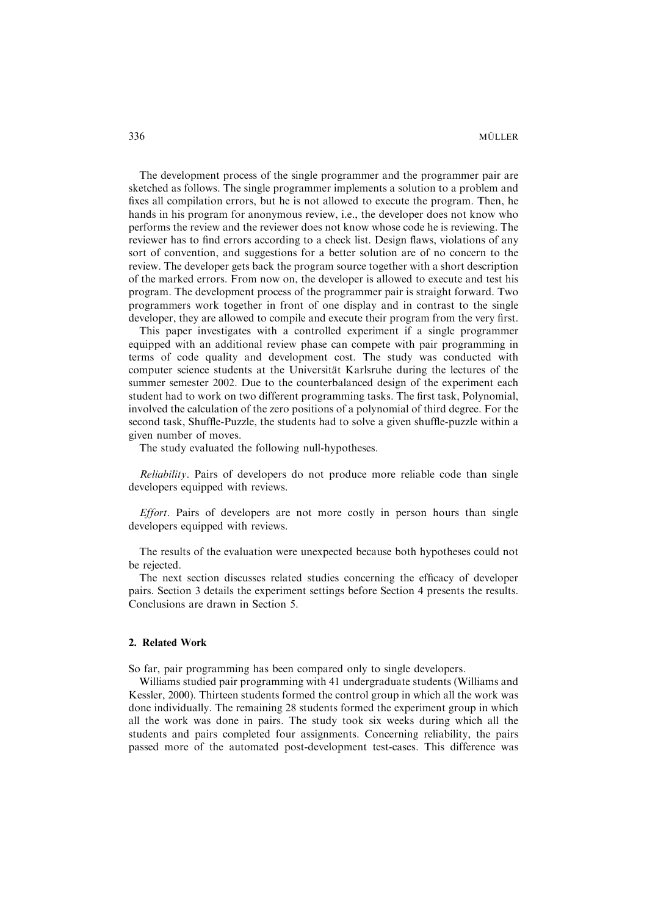The development process of the single programmer and the programmer pair are sketched as follows. The single programmer implements a solution to a problem and fixes all compilation errors, but he is not allowed to execute the program. Then, he hands in his program for anonymous review, i.e., the developer does not know who performs the review and the reviewer does not know whose code he is reviewing. The reviewer has to find errors according to a check list. Design flaws, violations of any sort of convention, and suggestions for a better solution are of no concern to the review. The developer gets back the program source together with a short description of the marked errors. From now on, the developer is allowed to execute and test his program. The development process of the programmer pair is straight forward. Two programmers work together in front of one display and in contrast to the single developer, they are allowed to compile and execute their program from the very first.

This paper investigates with a controlled experiment if a single programmer equipped with an additional review phase can compete with pair programming in terms of code quality and development cost. The study was conducted with computer science students at the Universität Karlsruhe during the lectures of the summer semester 2002. Due to the counterbalanced design of the experiment each student had to work on two different programming tasks. The first task, Polynomial, involved the calculation of the zero positions of a polynomial of third degree. For the second task, Shuffle-Puzzle, the students had to solve a given shuffle-puzzle within a given number of moves.

The study evaluated the following null-hypotheses.

Reliability. Pairs of developers do not produce more reliable code than single developers equipped with reviews.

Effort. Pairs of developers are not more costly in person hours than single developers equipped with reviews.

The results of the evaluation were unexpected because both hypotheses could not be rejected.

The next section discusses related studies concerning the efficacy of developer pairs. Section 3 details the experiment settings before Section 4 presents the results. Conclusions are drawn in Section 5.

#### 2. Related Work

So far, pair programming has been compared only to single developers.

Williams studied pair programming with 41 undergraduate students (Williams and Kessler, 2000). Thirteen students formed the control group in which all the work was done individually. The remaining 28 students formed the experiment group in which all the work was done in pairs. The study took six weeks during which all the students and pairs completed four assignments. Concerning reliability, the pairs passed more of the automated post-development test-cases. This difference was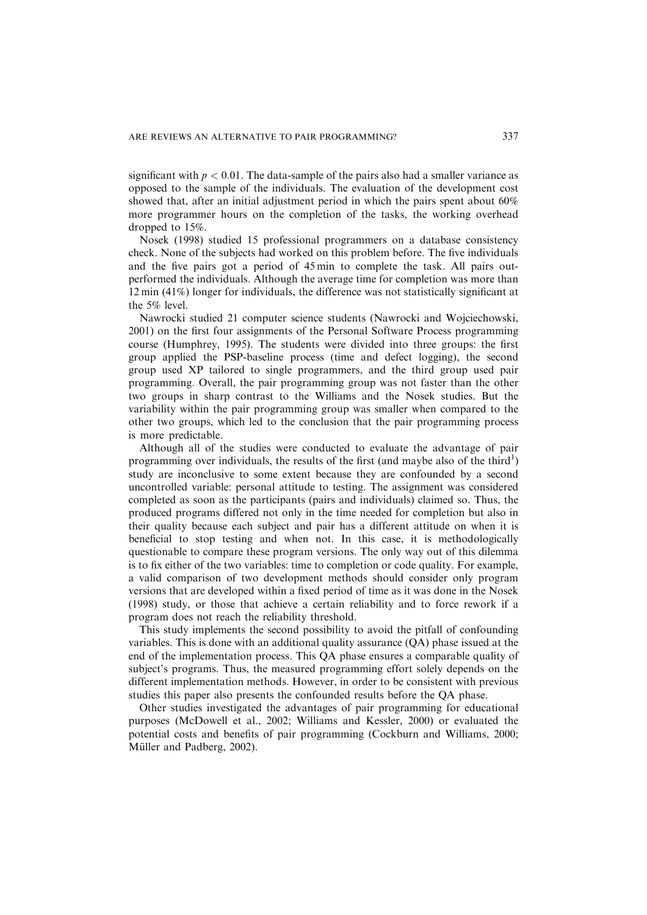significant with  $p < 0.01$ . The data-sample of the pairs also had a smaller variance as opposed to the sample of the individuals. The evaluation of the development cost showed that, after an initial adjustment period in which the pairs spent about 60% more programmer hours on the completion of the tasks, the working overhead dropped to 15%.

Nosek (1998) studied 15 professional programmers on a database consistency check. None of the subjects had worked on this problem before. The five individuals and the five pairs got a period of 45 min to complete the task. All pairs outperformed the individuals. Although the average time for completion was more than 12 min (41%) longer for individuals, the difference was not statistically significant at the 5% level.

Nawrocki studied 21 computer science students (Nawrocki and Wojciechowski, 2001) on the first four assignments of the Personal Software Process programming course (Humphrey, 1995). The students were divided into three groups: the first group applied the PSP-baseline process (time and defect logging), the second group used XP tailored to single programmers, and the third group used pair programming. Overall, the pair programming group was not faster than the other two groups in sharp contrast to the Williams and the Nosek studies. But the variability within the pair programming group was smaller when compared to the other two groups, which led to the conclusion that the pair programming process is more predictable.

Although all of the studies were conducted to evaluate the advantage of pair programming over individuals, the results of the first (and maybe also of the third<sup>1</sup>) study are inconclusive to some extent because they are confounded by a second uncontrolled variable: personal attitude to testing. The assignment was considered completed as soon as the participants (pairs and individuals) claimed so. Thus, the produced programs differed not only in the time needed for completion but also in their quality because each subject and pair has a different attitude on when it is beneficial to stop testing and when not. In this case, it is methodologically questionable to compare these program versions. The only way out of this dilemma is to fix either of the two variables: time to completion or code quality. For example, a valid comparison of two development methods should consider only program versions that are developed within a fixed period of time as it was done in the Nosek (1998) study, or those that achieve a certain reliability and to force rework if a program does not reach the reliability threshold.

This study implements the second possibility to avoid the pitfall of confounding variables. This is done with an additional quality assurance (QA) phase issued at the end of the implementation process. This QA phase ensures a comparable quality of subject's programs. Thus, the measured programming effort solely depends on the different implementation methods. However, in order to be consistent with previous studies this paper also presents the confounded results before the QA phase.

Other studies investigated the advantages of pair programming for educational purposes (McDowell et al., 2002; Williams and Kessler, 2000) or evaluated the potential costs and benefits of pair programming (Cockburn and Williams, 2000; Müller and Padberg, 2002).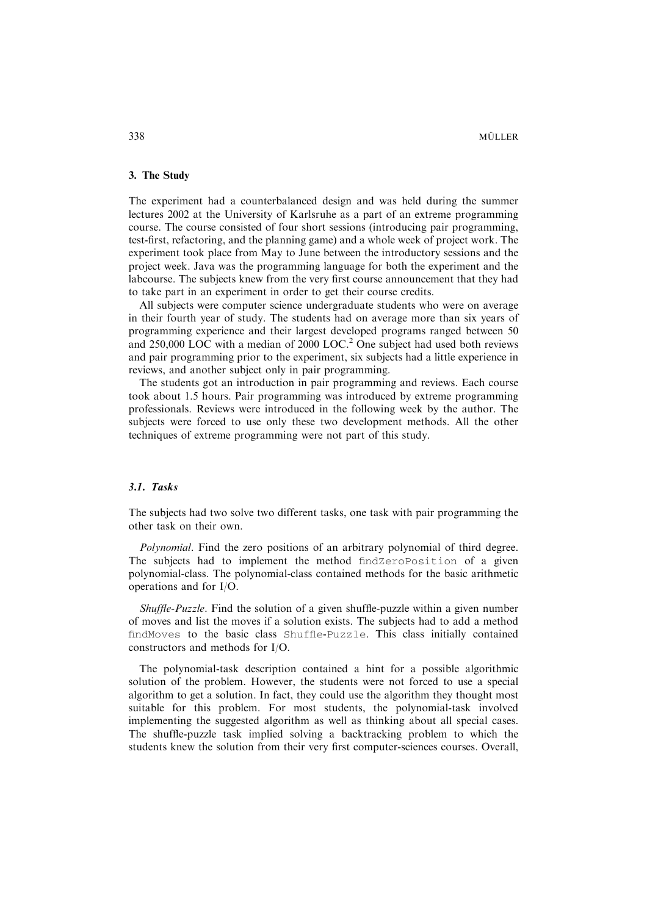#### 3. The Study

The experiment had a counterbalanced design and was held during the summer lectures 2002 at the University of Karlsruhe as a part of an extreme programming course. The course consisted of four short sessions (introducing pair programming, test-first, refactoring, and the planning game) and a whole week of project work. The experiment took place from May to June between the introductory sessions and the project week. Java was the programming language for both the experiment and the labcourse. The subjects knew from the very first course announcement that they had to take part in an experiment in order to get their course credits.

All subjects were computer science undergraduate students who were on average in their fourth year of study. The students had on average more than six years of programming experience and their largest developed programs ranged between 50 and 250,000 LOC with a median of 2000 LOC.<sup>2</sup> One subject had used both reviews and pair programming prior to the experiment, six subjects had a little experience in reviews, and another subject only in pair programming.

The students got an introduction in pair programming and reviews. Each course took about 1.5 hours. Pair programming was introduced by extreme programming professionals. Reviews were introduced in the following week by the author. The subjects were forced to use only these two development methods. All the other techniques of extreme programming were not part of this study.

# 3.1. Tasks

The subjects had two solve two different tasks, one task with pair programming the other task on their own.

Polynomial. Find the zero positions of an arbitrary polynomial of third degree. The subjects had to implement the method findZeroPosition of a given polynomial-class. The polynomial-class contained methods for the basic arithmetic operations and for I/O.

Shuffle-Puzzle. Find the solution of a given shuffle-puzzle within a given number of moves and list the moves if a solution exists. The subjects had to add a method findMoves to the basic class Shuffle-Puzzle. This class initially contained constructors and methods for I/O.

The polynomial-task description contained a hint for a possible algorithmic solution of the problem. However, the students were not forced to use a special algorithm to get a solution. In fact, they could use the algorithm they thought most suitable for this problem. For most students, the polynomial-task involved implementing the suggested algorithm as well as thinking about all special cases. The shuffle-puzzle task implied solving a backtracking problem to which the students knew the solution from their very first computer-sciences courses. Overall,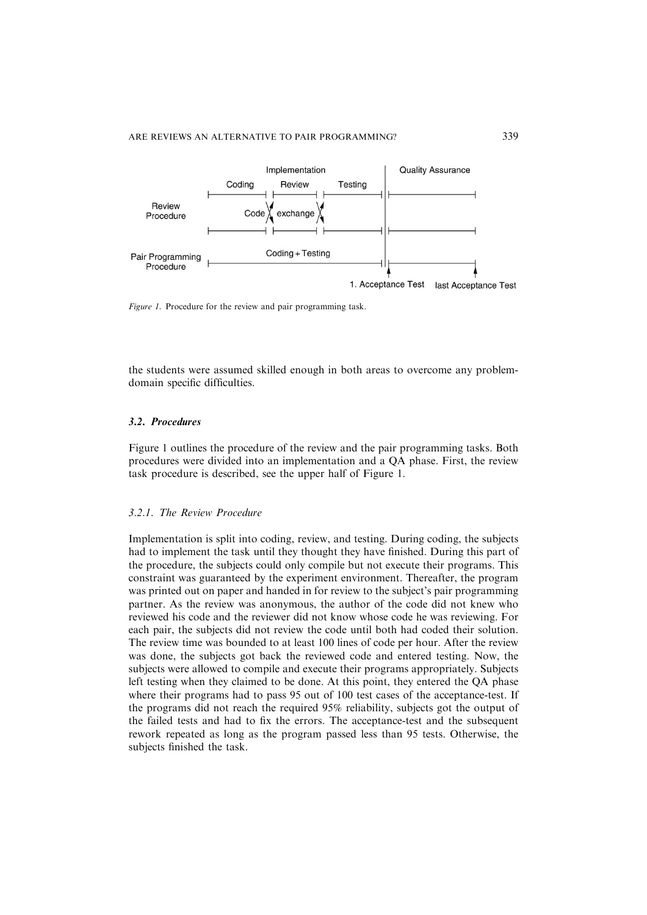

Figure 1. Procedure for the review and pair programming task.

the students were assumed skilled enough in both areas to overcome any problemdomain specific difficulties.

# 3.2. Procedures

Figure 1 outlines the procedure of the review and the pair programming tasks. Both procedures were divided into an implementation and a QA phase. First, the review task procedure is described, see the upper half of Figure 1.

### 3.2.1. The Review Procedure

Implementation is split into coding, review, and testing. During coding, the subjects had to implement the task until they thought they have finished. During this part of the procedure, the subjects could only compile but not execute their programs. This constraint was guaranteed by the experiment environment. Thereafter, the program was printed out on paper and handed in for review to the subject's pair programming partner. As the review was anonymous, the author of the code did not knew who reviewed his code and the reviewer did not know whose code he was reviewing. For each pair, the subjects did not review the code until both had coded their solution. The review time was bounded to at least 100 lines of code per hour. After the review was done, the subjects got back the reviewed code and entered testing. Now, the subjects were allowed to compile and execute their programs appropriately. Subjects left testing when they claimed to be done. At this point, they entered the QA phase where their programs had to pass 95 out of 100 test cases of the acceptance-test. If the programs did not reach the required 95% reliability, subjects got the output of the failed tests and had to fix the errors. The acceptance-test and the subsequent rework repeated as long as the program passed less than 95 tests. Otherwise, the subjects finished the task.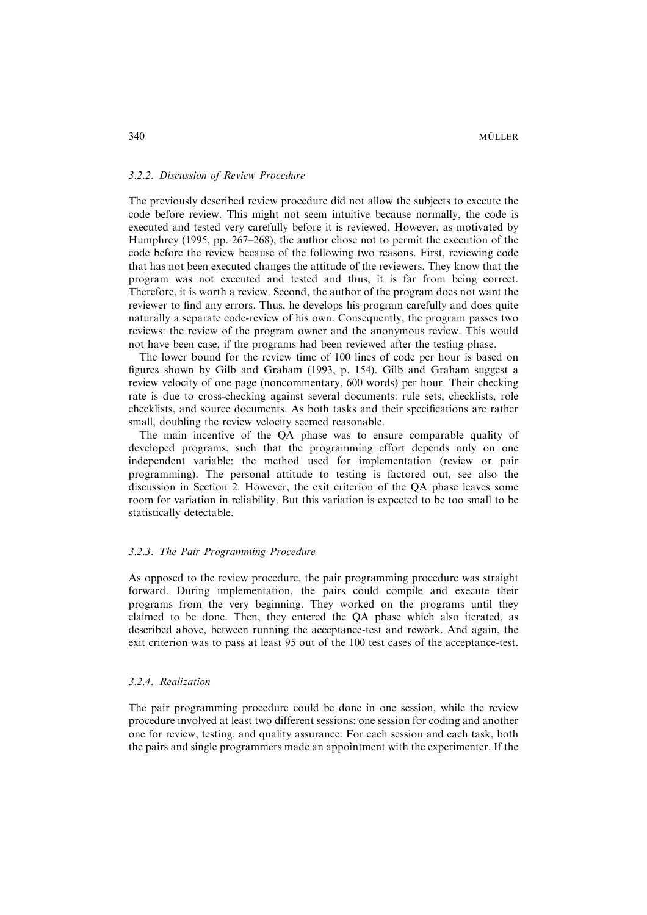### 3.2.2. Discussion of Review Procedure

The previously described review procedure did not allow the subjects to execute the code before review. This might not seem intuitive because normally, the code is executed and tested very carefully before it is reviewed. However, as motivated by Humphrey (1995, pp. 267–268), the author chose not to permit the execution of the code before the review because of the following two reasons. First, reviewing code that has not been executed changes the attitude of the reviewers. They know that the program was not executed and tested and thus, it is far from being correct. Therefore, it is worth a review. Second, the author of the program does not want the reviewer to find any errors. Thus, he develops his program carefully and does quite naturally a separate code-review of his own. Consequently, the program passes two reviews: the review of the program owner and the anonymous review. This would not have been case, if the programs had been reviewed after the testing phase.

The lower bound for the review time of 100 lines of code per hour is based on figures shown by Gilb and Graham (1993, p. 154). Gilb and Graham suggest a review velocity of one page (noncommentary, 600 words) per hour. Their checking rate is due to cross-checking against several documents: rule sets, checklists, role checklists, and source documents. As both tasks and their specifications are rather small, doubling the review velocity seemed reasonable.

The main incentive of the QA phase was to ensure comparable quality of developed programs, such that the programming effort depends only on one independent variable: the method used for implementation (review or pair programming). The personal attitude to testing is factored out, see also the discussion in Section 2. However, the exit criterion of the QA phase leaves some room for variation in reliability. But this variation is expected to be too small to be statistically detectable.

# 3.2.3. The Pair Programming Procedure

As opposed to the review procedure, the pair programming procedure was straight forward. During implementation, the pairs could compile and execute their programs from the very beginning. They worked on the programs until they claimed to be done. Then, they entered the QA phase which also iterated, as described above, between running the acceptance-test and rework. And again, the exit criterion was to pass at least 95 out of the 100 test cases of the acceptance-test.

#### 3.2.4. Realization

The pair programming procedure could be done in one session, while the review procedure involved at least two different sessions: one session for coding and another one for review, testing, and quality assurance. For each session and each task, both the pairs and single programmers made an appointment with the experimenter. If the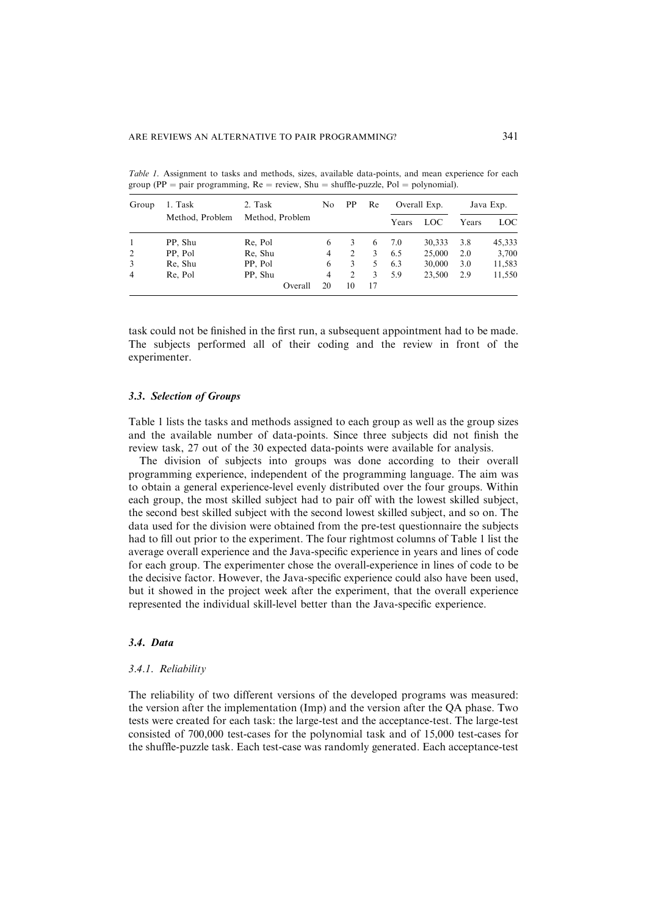| Group          | 1. Task<br>Method, Problem | 2. Task<br>Method, Problem | No. | PP | Re | Overall Exp. |        | Java Exp. |        |
|----------------|----------------------------|----------------------------|-----|----|----|--------------|--------|-----------|--------|
|                |                            |                            |     |    |    | Years        | LOC    | Years     | LOC.   |
|                | PP, Shu                    | Re, Pol                    | 6   |    | 6  | 7.0          | 30.333 | 3.8       | 45,333 |
| 2              | PP, Pol                    | Re, Shu                    | 4   | 2  | 3  | 6.5          | 25,000 | 2.0       | 3,700  |
| 3              | Re, Shu                    | PP, Pol                    | 6   | 3  | 5. | 6.3          | 30,000 | 3.0       | 11,583 |
| $\overline{4}$ | Re, Pol                    | PP, Shu                    | 4   | 2  | 3  | 5.9          | 23,500 | 2.9       | 11,550 |
|                |                            | Overall                    | 20  | 10 | 17 |              |        |           |        |

Table 1. Assignment to tasks and methods, sizes, available data-points, and mean experience for each group (PP = pair programming,  $Re =$  review,  $Shu = shuffle-puzzle$ , Pol = polynomial).

task could not be finished in the first run, a subsequent appointment had to be made. The subjects performed all of their coding and the review in front of the experimenter.

#### 3.3. Selection of Groups

Table 1 lists the tasks and methods assigned to each group as well as the group sizes and the available number of data-points. Since three subjects did not finish the review task, 27 out of the 30 expected data-points were available for analysis.

The division of subjects into groups was done according to their overall programming experience, independent of the programming language. The aim was to obtain a general experience-level evenly distributed over the four groups. Within each group, the most skilled subject had to pair off with the lowest skilled subject, the second best skilled subject with the second lowest skilled subject, and so on. The data used for the division were obtained from the pre-test questionnaire the subjects had to fill out prior to the experiment. The four rightmost columns of Table 1 list the average overall experience and the Java-specific experience in years and lines of code for each group. The experimenter chose the overall-experience in lines of code to be the decisive factor. However, the Java-specific experience could also have been used, but it showed in the project week after the experiment, that the overall experience represented the individual skill-level better than the Java-specific experience.

#### 3.4. Data

#### 3.4.1. Reliability

The reliability of two different versions of the developed programs was measured: the version after the implementation (Imp) and the version after the QA phase. Two tests were created for each task: the large-test and the acceptance-test. The large-test consisted of 700,000 test-cases for the polynomial task and of 15,000 test-cases for the shuffle-puzzle task. Each test-case was randomly generated. Each acceptance-test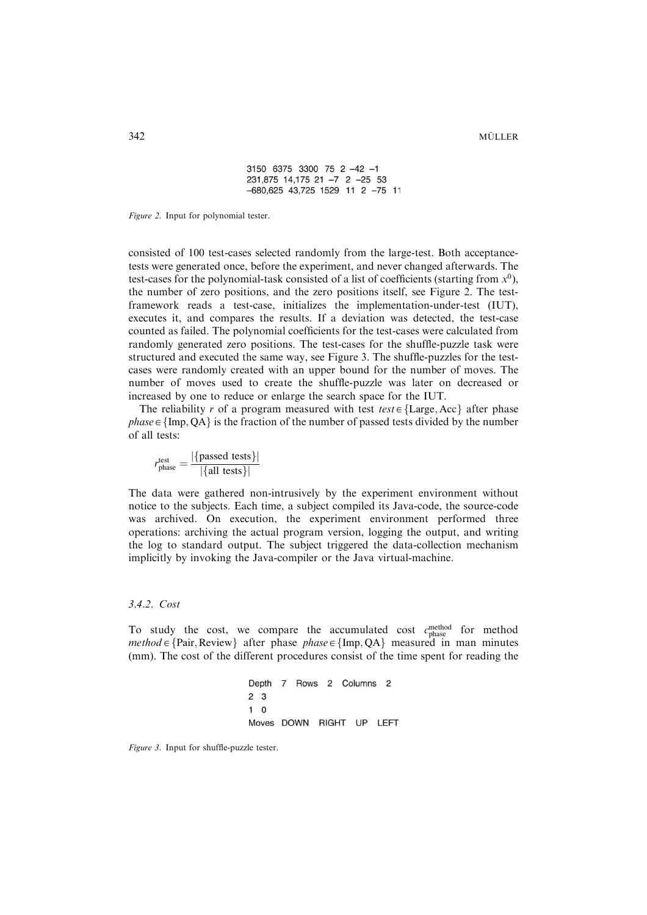$3150$  6375 3300 75 2 -42 -1 231,875 14,175 21 -7 2 -25 53  $-680,625$  43,725 1529 11 2 -75 11

Figure 2. Input for polynomial tester.

consisted of 100 test-cases selected randomly from the large-test. Both acceptancetests were generated once, before the experiment, and never changed afterwards. The test-cases for the polynomial-task consisted of a list of coefficients (starting from  $x^0$ ), the number of zero positions, and the zero positions itself, see Figure 2. The testframework reads a test-case, initializes the implementation-under-test (IUT), executes it, and compares the results. If a deviation was detected, the test-case counted as failed. The polynomial coefficients for the test-cases were calculated from randomly generated zero positions. The test-cases for the shuffle-puzzle task were structured and executed the same way, see Figure 3. The shuffle-puzzles for the testcases were randomly created with an upper bound for the number of moves. The number of moves used to create the shuffle-puzzle was later on decreased or increased by one to reduce or enlarge the search space for the IUT.

The reliability r of a program measured with test  $test \in \{Large, Acc\}$  after phase  $phase \in \{Imp, QA\}$  is the fraction of the number of passed tests divided by the number of all tests:

$$
r_{\text{phase}}^{\text{test}} = \frac{|\{\text{passed tests}\}|}{|\{\text{all tests}\}\}|}
$$

The data were gathered non-intrusively by the experiment environment without notice to the subjects. Each time, a subject compiled its Java-code, the source-code was archived. On execution, the experiment environment performed three operations: archiving the actual program version, logging the output, and writing the log to standard output. The subject triggered the data-collection mechanism implicitly by invoking the Java-compiler or the Java virtual-machine.

# 3.4.2. Cost

To study the cost, we compare the accumulated cost  $c_{\text{phase}}^{\text{method}}$  for method method  $\in$  {Pair, Review} after phase phase  $\in$  {Imp, QA} measured in man minutes (mm). The cost of the different procedures consist of the time spent for reading the

> Depth 7 Rows 2 Columns 2  $2<sub>3</sub>$  $1 \Omega$ Moves DOWN RIGHT UP LEFT

Figure 3. Input for shuffle-puzzle tester.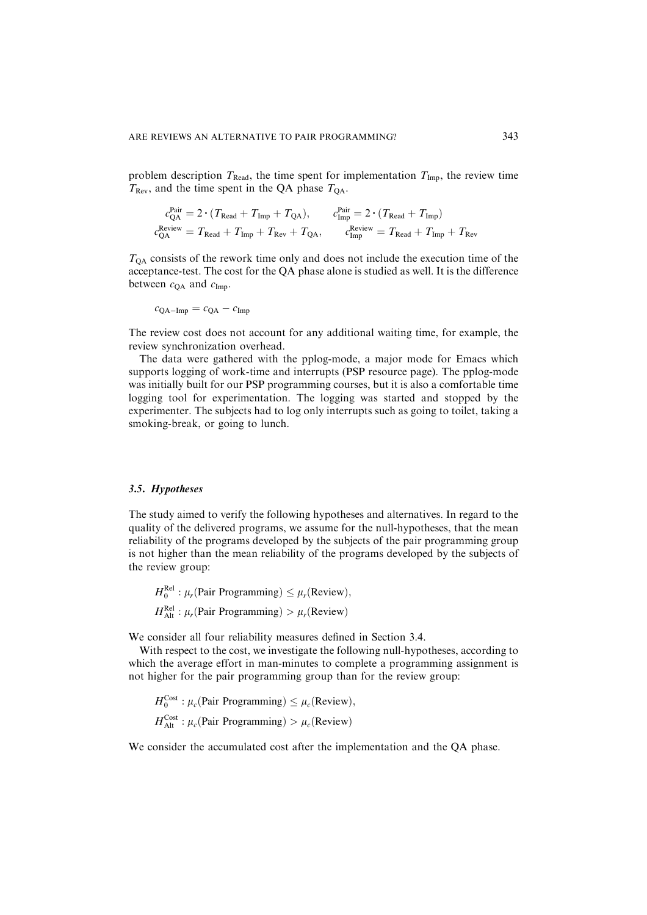problem description  $T_{\text{Read}}$ , the time spent for implementation  $T_{\text{Imp}}$ , the review time  $T_{\text{Rev}}$ , and the time spent in the QA phase  $T_{\text{OA}}$ .

$$
c_{\text{QA}}^{\text{Pair}} = 2 \cdot (T_{\text{Read}} + T_{\text{Imp}} + T_{\text{QA}}), \qquad c_{\text{Imp}}^{\text{Pair}} = 2 \cdot (T_{\text{Read}} + T_{\text{Imp}})
$$
  

$$
c_{\text{QA}}^{\text{Review}} = T_{\text{Read}} + T_{\text{Imp}} + T_{\text{Rev}} + T_{\text{QA}}, \qquad c_{\text{Imp}}^{\text{Review}} = T_{\text{Read}} + T_{\text{Imp}} + T_{\text{Rev}}
$$

 $T<sub>OA</sub>$  consists of the rework time only and does not include the execution time of the acceptance-test. The cost for the QA phase alone is studied as well. It is the difference between  $c_{OA}$  and  $c_{Imp}$ .

$$
c_{\text{QA-Imp}} = c_{\text{QA}} - c_{\text{Imp}}
$$

The review cost does not account for any additional waiting time, for example, the review synchronization overhead.

The data were gathered with the pplog-mode, a major mode for Emacs which supports logging of work-time and interrupts (PSP resource page). The pplog-mode was initially built for our PSP programming courses, but it is also a comfortable time logging tool for experimentation. The logging was started and stopped by the experimenter. The subjects had to log only interrupts such as going to toilet, taking a smoking-break, or going to lunch.

#### 3.5. Hypotheses

The study aimed to verify the following hypotheses and alternatives. In regard to the quality of the delivered programs, we assume for the null-hypotheses, that the mean reliability of the programs developed by the subjects of the pair programming group is not higher than the mean reliability of the programs developed by the subjects of the review group:

$$
H_0^{\text{Rel}}: \mu_r(\text{Pair Programming}) \le \mu_r(\text{Review}),
$$
  

$$
H_{\text{Alt}}^{\text{Rel}}: \mu_r(\text{Pair Programming}) > \mu_r(\text{Review})
$$

We consider all four reliability measures defined in Section 3.4.

With respect to the cost, we investigate the following null-hypotheses, according to which the average effort in man-minutes to complete a programming assignment is not higher for the pair programming group than for the review group:

$$
H_0^{\text{Cost}} : \mu_c(\text{Pair Programming}) \le \mu_c(\text{Review}),
$$
  

$$
H_{\text{Alt}}^{\text{Cost}} : \mu_c(\text{Pair Programming}) > \mu_c(\text{Review})
$$

We consider the accumulated cost after the implementation and the QA phase.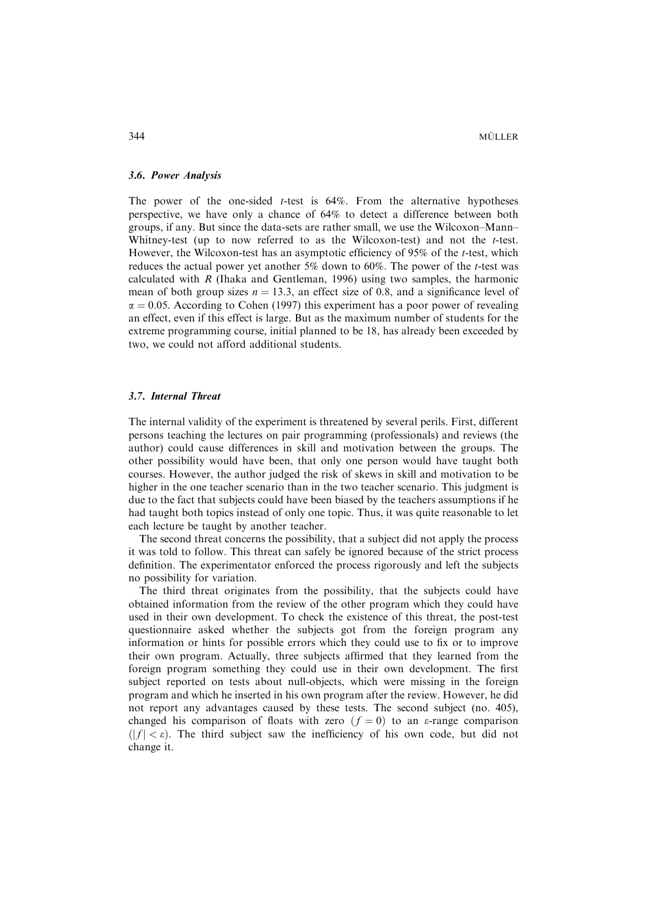#### 3.6. Power Analysis

The power of the one-sided  $t$ -test is 64%. From the alternative hypotheses perspective, we have only a chance of 64% to detect a difference between both groups, if any. But since the data-sets are rather small, we use the Wilcoxon–Mann– Whitney-test (up to now referred to as the Wilcoxon-test) and not the  $t$ -test. However, the Wilcoxon-test has an asymptotic efficiency of 95% of the  $t$ -test, which reduces the actual power yet another 5% down to 60%. The power of the t-test was calculated with  $R$  (Ihaka and Gentleman, 1996) using two samples, the harmonic mean of both group sizes  $n = 13.3$ , an effect size of 0.8, and a significance level of  $\alpha = 0.05$ . According to Cohen (1997) this experiment has a poor power of revealing an effect, even if this effect is large. But as the maximum number of students for the extreme programming course, initial planned to be 18, has already been exceeded by two, we could not afford additional students.

#### 3.7. Internal Threat

The internal validity of the experiment is threatened by several perils. First, different persons teaching the lectures on pair programming (professionals) and reviews (the author) could cause differences in skill and motivation between the groups. The other possibility would have been, that only one person would have taught both courses. However, the author judged the risk of skews in skill and motivation to be higher in the one teacher scenario than in the two teacher scenario. This judgment is due to the fact that subjects could have been biased by the teachers assumptions if he had taught both topics instead of only one topic. Thus, it was quite reasonable to let each lecture be taught by another teacher.

The second threat concerns the possibility, that a subject did not apply the process it was told to follow. This threat can safely be ignored because of the strict process definition. The experimentator enforced the process rigorously and left the subjects no possibility for variation.

The third threat originates from the possibility, that the subjects could have obtained information from the review of the other program which they could have used in their own development. To check the existence of this threat, the post-test questionnaire asked whether the subjects got from the foreign program any information or hints for possible errors which they could use to fix or to improve their own program. Actually, three subjects affirmed that they learned from the foreign program something they could use in their own development. The first subject reported on tests about null-objects, which were missing in the foreign program and which he inserted in his own program after the review. However, he did not report any advantages caused by these tests. The second subject (no. 405), changed his comparison of floats with zero  $(f = 0)$  to an e-range comparison  $(|f| < \varepsilon)$ . The third subject saw the inefficiency of his own code, but did not change it.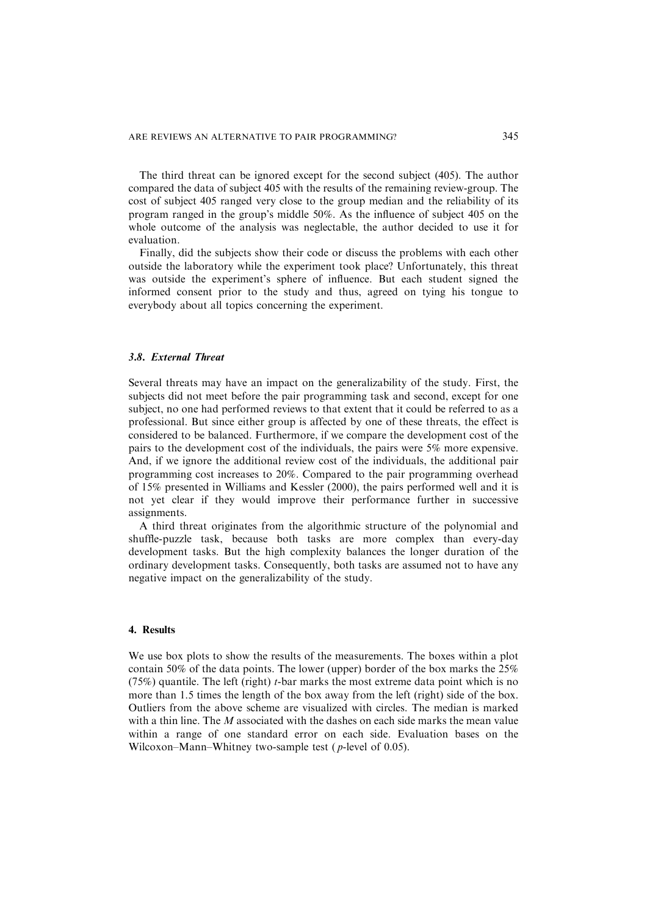The third threat can be ignored except for the second subject (405). The author compared the data of subject 405 with the results of the remaining review-group. The cost of subject 405 ranged very close to the group median and the reliability of its program ranged in the group's middle 50%. As the influence of subject 405 on the whole outcome of the analysis was neglectable, the author decided to use it for evaluation.

Finally, did the subjects show their code or discuss the problems with each other outside the laboratory while the experiment took place? Unfortunately, this threat was outside the experiment's sphere of influence. But each student signed the informed consent prior to the study and thus, agreed on tying his tongue to everybody about all topics concerning the experiment.

### 3.8. External Threat

Several threats may have an impact on the generalizability of the study. First, the subjects did not meet before the pair programming task and second, except for one subject, no one had performed reviews to that extent that it could be referred to as a professional. But since either group is affected by one of these threats, the effect is considered to be balanced. Furthermore, if we compare the development cost of the pairs to the development cost of the individuals, the pairs were 5% more expensive. And, if we ignore the additional review cost of the individuals, the additional pair programming cost increases to 20%. Compared to the pair programming overhead of 15% presented in Williams and Kessler (2000), the pairs performed well and it is not yet clear if they would improve their performance further in successive assignments.

A third threat originates from the algorithmic structure of the polynomial and shuffle-puzzle task, because both tasks are more complex than every-day development tasks. But the high complexity balances the longer duration of the ordinary development tasks. Consequently, both tasks are assumed not to have any negative impact on the generalizability of the study.

# 4. Results

We use box plots to show the results of the measurements. The boxes within a plot contain 50% of the data points. The lower (upper) border of the box marks the 25% (75%) quantile. The left (right)  $t$ -bar marks the most extreme data point which is no more than 1.5 times the length of the box away from the left (right) side of the box. Outliers from the above scheme are visualized with circles. The median is marked with a thin line. The  $M$  associated with the dashes on each side marks the mean value within a range of one standard error on each side. Evaluation bases on the Wilcoxon–Mann–Whitney two-sample test ( $p$ -level of 0.05).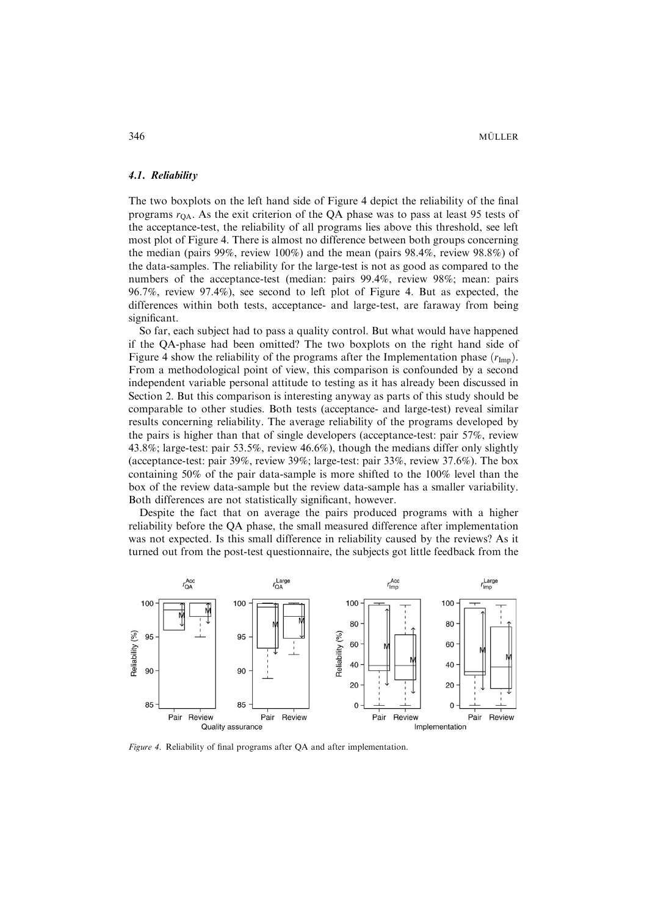#### 4.1. Reliability

The two boxplots on the left hand side of Figure 4 depict the reliability of the final programs  $r_{OA}$ . As the exit criterion of the QA phase was to pass at least 95 tests of the acceptance-test, the reliability of all programs lies above this threshold, see left most plot of Figure 4. There is almost no difference between both groups concerning the median (pairs 99%, review 100%) and the mean (pairs 98.4%, review 98.8%) of the data-samples. The reliability for the large-test is not as good as compared to the numbers of the acceptance-test (median: pairs 99.4%, review 98%; mean: pairs 96.7%, review 97.4%), see second to left plot of Figure 4. But as expected, the differences within both tests, acceptance- and large-test, are faraway from being significant.

So far, each subject had to pass a quality control. But what would have happened if the QA-phase had been omitted? The two boxplots on the right hand side of Figure 4 show the reliability of the programs after the Implementation phase  $(r_{\text{Imp}})$ . From a methodological point of view, this comparison is confounded by a second independent variable personal attitude to testing as it has already been discussed in Section 2. But this comparison is interesting anyway as parts of this study should be comparable to other studies. Both tests (acceptance- and large-test) reveal similar results concerning reliability. The average reliability of the programs developed by the pairs is higher than that of single developers (acceptance-test: pair 57%, review 43.8%; large-test: pair 53.5%, review 46.6%), though the medians differ only slightly (acceptance-test: pair 39%, review 39%; large-test: pair 33%, review 37.6%). The box containing 50% of the pair data-sample is more shifted to the 100% level than the box of the review data-sample but the review data-sample has a smaller variability. Both differences are not statistically significant, however.

Despite the fact that on average the pairs produced programs with a higher reliability before the QA phase, the small measured difference after implementation was not expected. Is this small difference in reliability caused by the reviews? As it turned out from the post-test questionnaire, the subjects got little feedback from the



Figure 4. Reliability of final programs after QA and after implementation.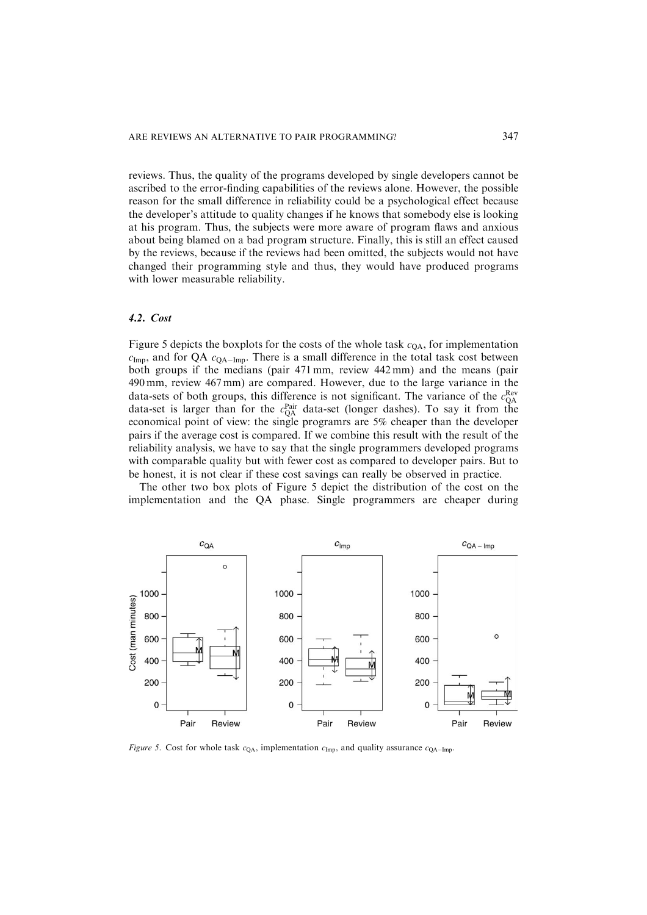reviews. Thus, the quality of the programs developed by single developers cannot be ascribed to the error-finding capabilities of the reviews alone. However, the possible reason for the small difference in reliability could be a psychological effect because the developer's attitude to quality changes if he knows that somebody else is looking at his program. Thus, the subjects were more aware of program flaws and anxious about being blamed on a bad program structure. Finally, this is still an effect caused by the reviews, because if the reviews had been omitted, the subjects would not have changed their programming style and thus, they would have produced programs with lower measurable reliability.

# 4.2. Cost

Figure 5 depicts the boxplots for the costs of the whole task  $c<sub>OA</sub>$ , for implementation  $c_{\text{Imp}}$ , and for QA  $c_{\text{OA-Imp}}$ . There is a small difference in the total task cost between both groups if the medians (pair 471 mm, review 442 mm) and the means (pair 490 mm, review 467 mm) are compared. However, due to the large variance in the data-sets of both groups, this difference is not significant. The variance of the  $c_{QA}^{Rev}$ data-set is larger than for the  $c_{QA}^{Pair}$  data-set (longer dashes). To say it from the economical point of view: the single programrs are 5% cheaper than the developer pairs if the average cost is compared. If we combine this result with the result of the reliability analysis, we have to say that the single programmers developed programs with comparable quality but with fewer cost as compared to developer pairs. But to be honest, it is not clear if these cost savings can really be observed in practice.

The other two box plots of Figure 5 depict the distribution of the cost on the implementation and the QA phase. Single programmers are cheaper during



Figure 5. Cost for whole task  $c_{QA}$ , implementation  $c_{Imp}$ , and quality assurance  $c_{QA-Imp}$ .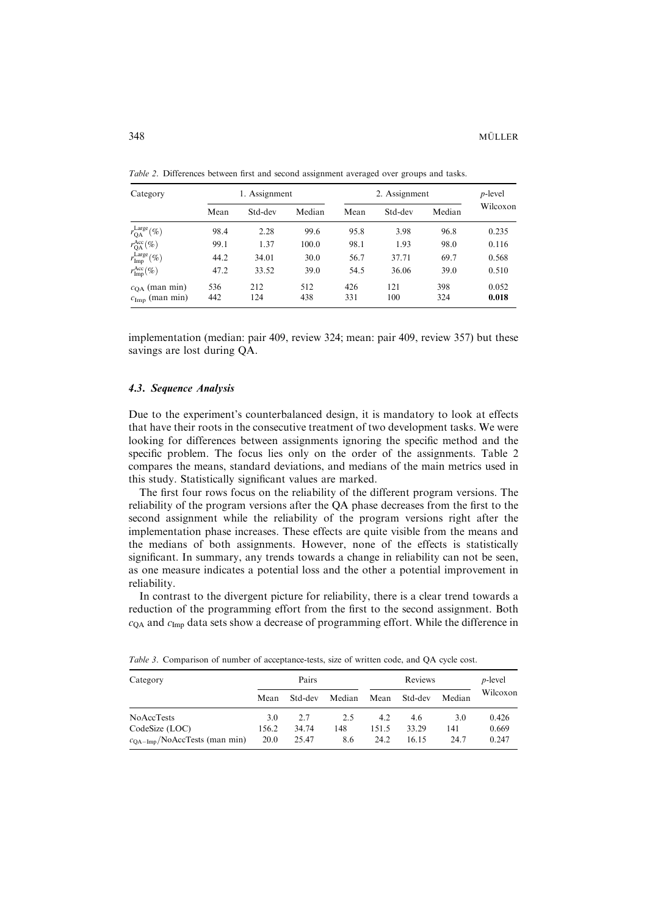| 1. Assignment |            |            |            | $p$ -level |            |                |
|---------------|------------|------------|------------|------------|------------|----------------|
| Mean          | Std-dev    | Median     | Mean       | Std-dev    | Median     | Wilcoxon       |
| 98.4          | 2.28       | 99.6       | 95.8       | 3.98       | 96.8       | 0.235          |
| 99.1          | 1.37       | 100.0      | 98.1       | 1.93       | 98.0       | 0.116          |
| 44.2          | 34.01      | 30.0       | 56.7       | 37.71      | 69.7       | 0.568          |
| 47.2          | 33.52      | 39.0       | 54.5       | 36.06      | 39.0       | 0.510          |
| 536<br>442    | 212<br>124 | 512<br>438 | 426<br>331 | 121<br>100 | 398<br>324 | 0.052<br>0.018 |
|               |            |            |            |            |            | 2. Assignment  |

Table 2. Differences between first and second assignment averaged over groups and tasks.

implementation (median: pair 409, review 324; mean: pair 409, review 357) but these savings are lost during QA.

# 4.3. Sequence Analysis

Due to the experiment's counterbalanced design, it is mandatory to look at effects that have their roots in the consecutive treatment of two development tasks. We were looking for differences between assignments ignoring the specific method and the specific problem. The focus lies only on the order of the assignments. Table 2 compares the means, standard deviations, and medians of the main metrics used in this study. Statistically significant values are marked.

The first four rows focus on the reliability of the different program versions. The reliability of the program versions after the QA phase decreases from the first to the second assignment while the reliability of the program versions right after the implementation phase increases. These effects are quite visible from the means and the medians of both assignments. However, none of the effects is statistically significant. In summary, any trends towards a change in reliability can not be seen, as one measure indicates a potential loss and the other a potential improvement in reliability.

In contrast to the divergent picture for reliability, there is a clear trend towards a reduction of the programming effort from the first to the second assignment. Both  $c<sub>OA</sub>$  and  $c<sub>Imp</sub>$  data sets show a decrease of programming effort. While the difference in

| Category                                            | Pairs         |                |            |               | $p$ -level     |             |                |
|-----------------------------------------------------|---------------|----------------|------------|---------------|----------------|-------------|----------------|
|                                                     | Mean          | Std-dev        | Median     | Mean          | Std-dev        | Median      | Wilcoxon       |
| <b>NoAccTests</b>                                   | 3.0           | 2.7            | 2.5        | 4.2           | 4.6            | 3.0         | 0.426          |
| CodeSize (LOC)<br>$c_{QA-Imp}/NoAccTests$ (man min) | 156.2<br>20.0 | 34.74<br>25.47 | 148<br>8.6 | 151.5<br>24.2 | 33.29<br>16.15 | 141<br>24.7 | 0.669<br>0.247 |

Table 3. Comparison of number of acceptance-tests, size of written code, and OA cycle cost.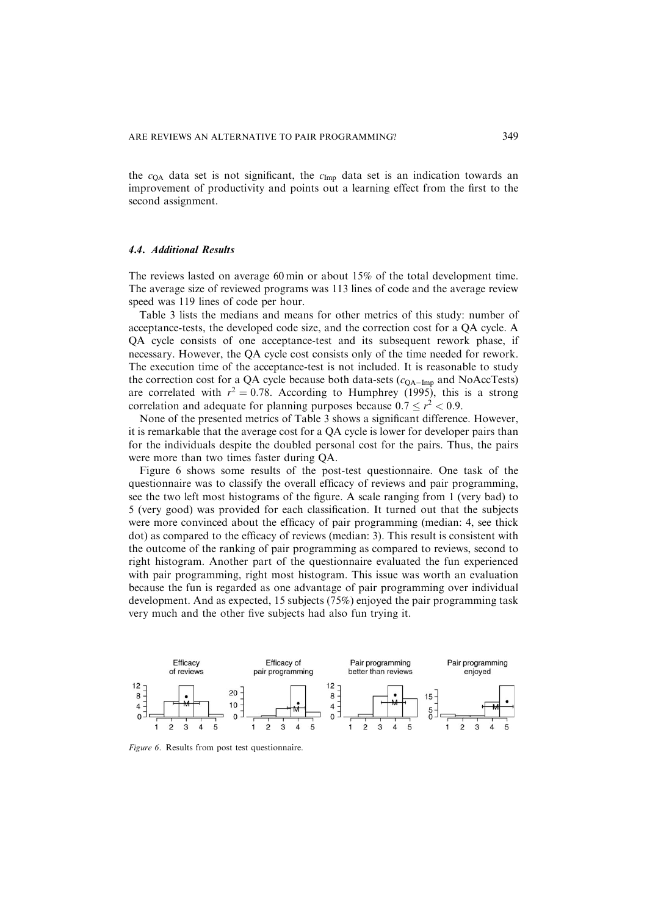the  $c_{OA}$  data set is not significant, the  $c_{Imp}$  data set is an indication towards an improvement of productivity and points out a learning effect from the first to the second assignment.

### 4.4. Additional Results

The reviews lasted on average 60 min or about 15% of the total development time. The average size of reviewed programs was 113 lines of code and the average review speed was 119 lines of code per hour.

Table 3 lists the medians and means for other metrics of this study: number of acceptance-tests, the developed code size, and the correction cost for a QA cycle. A QA cycle consists of one acceptance-test and its subsequent rework phase, if necessary. However, the QA cycle cost consists only of the time needed for rework. The execution time of the acceptance-test is not included. It is reasonable to study the correction cost for a QA cycle because both data-sets ( $c_{OA-Imp}$  and NoAccTests) are correlated with  $r^2 = 0.78$ . According to Humphrey (1995), this is a strong correlation and adequate for planning purposes because  $0.7 \le r^2 < 0.9$ .

None of the presented metrics of Table 3 shows a significant difference. However, it is remarkable that the average cost for a QA cycle is lower for developer pairs than for the individuals despite the doubled personal cost for the pairs. Thus, the pairs were more than two times faster during QA.

Figure 6 shows some results of the post-test questionnaire. One task of the questionnaire was to classify the overall efficacy of reviews and pair programming, see the two left most histograms of the figure. A scale ranging from 1 (very bad) to 5 (very good) was provided for each classification. It turned out that the subjects were more convinced about the efficacy of pair programming (median: 4, see thick dot) as compared to the efficacy of reviews (median: 3). This result is consistent with the outcome of the ranking of pair programming as compared to reviews, second to right histogram. Another part of the questionnaire evaluated the fun experienced with pair programming, right most histogram. This issue was worth an evaluation because the fun is regarded as one advantage of pair programming over individual development. And as expected, 15 subjects (75%) enjoyed the pair programming task very much and the other five subjects had also fun trying it.



Figure 6. Results from post test questionnaire.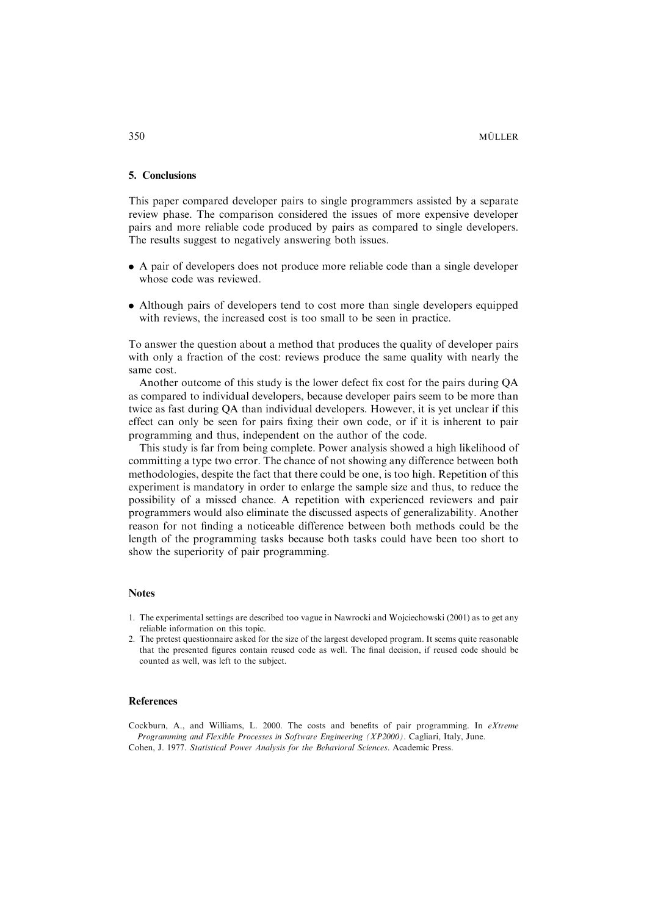# 5. Conclusions

This paper compared developer pairs to single programmers assisted by a separate review phase. The comparison considered the issues of more expensive developer pairs and more reliable code produced by pairs as compared to single developers. The results suggest to negatively answering both issues.

- . A pair of developers does not produce more reliable code than a single developer whose code was reviewed.
- . Although pairs of developers tend to cost more than single developers equipped with reviews, the increased cost is too small to be seen in practice.

To answer the question about a method that produces the quality of developer pairs with only a fraction of the cost: reviews produce the same quality with nearly the same cost.

Another outcome of this study is the lower defect fix cost for the pairs during QA as compared to individual developers, because developer pairs seem to be more than twice as fast during QA than individual developers. However, it is yet unclear if this effect can only be seen for pairs fixing their own code, or if it is inherent to pair programming and thus, independent on the author of the code.

This study is far from being complete. Power analysis showed a high likelihood of committing a type two error. The chance of not showing any difference between both methodologies, despite the fact that there could be one, is too high. Repetition of this experiment is mandatory in order to enlarge the sample size and thus, to reduce the possibility of a missed chance. A repetition with experienced reviewers and pair programmers would also eliminate the discussed aspects of generalizability. Another reason for not finding a noticeable difference between both methods could be the length of the programming tasks because both tasks could have been too short to show the superiority of pair programming.

# **Notes**

- 1. The experimental settings are described too vague in Nawrocki and Wojciechowski (2001) as to get any reliable information on this topic.
- 2. The pretest questionnaire asked for the size of the largest developed program. It seems quite reasonable that the presented figures contain reused code as well. The final decision, if reused code should be counted as well, was left to the subject.

#### References

Cockburn, A., and Williams, L. 2000. The costs and benefits of pair programming. In eXtreme Programming and Flexible Processes in Software Engineering (XP2000). Cagliari, Italy, June. Cohen, J. 1977. Statistical Power Analysis for the Behavioral Sciences. Academic Press.